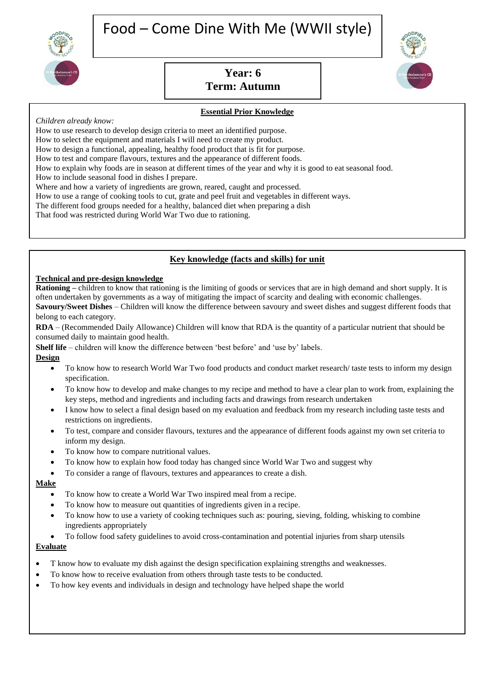

# **Year: 6 Term: Autumn**



#### **Essential Prior Knowledge**

*Children already know:*

How to use research to develop design criteria to meet an identified purpose.

How to select the equipment and materials I will need to create my product.

How to design a functional, appealing, healthy food product that is fit for purpose.

How to test and compare flavours, textures and the appearance of different foods.

How to explain why foods are in season at different times of the year and why it is good to eat seasonal food.

How to include seasonal food in dishes I prepare.

Where and how a variety of ingredients are grown, reared, caught and processed.

How to use a range of cooking tools to cut, grate and peel fruit and vegetables in different ways.

The different food groups needed for a healthy, balanced diet when preparing a dish

That food was restricted during World War Two due to rationing.

## **Key knowledge (facts and skills) for unit**

#### **Technical and pre-design knowledge**

**Rationing –** children to know that rationing is the limiting of goods or services that are in high demand and short supply. It is often undertaken by governments as a way of mitigating the impact of scarcity and dealing with economic challenges. **Savoury/Sweet Dishes** – Children will know the difference between savoury and sweet dishes and suggest different foods that belong to each category.

**RDA** – (Recommended Daily Allowance) Children will know that RDA is the quantity of a particular nutrient that should be consumed daily to maintain good health.

**Shelf life** – children will know the difference between 'best before' and 'use by' labels.

#### **Design**

- To know how to research World War Two food products and conduct market research/ taste tests to inform my design specification.
- To know how to develop and make changes to my recipe and method to have a clear plan to work from, explaining the key steps, method and ingredients and including facts and drawings from research undertaken
- I know how to select a final design based on my evaluation and feedback from my research including taste tests and restrictions on ingredients.
- To test, compare and consider flavours, textures and the appearance of different foods against my own set criteria to inform my design.
- To know how to compare nutritional values.
- To know how to explain how food today has changed since World War Two and suggest why
- To consider a range of flavours, textures and appearances to create a dish.

#### **Make**

- To know how to create a World War Two inspired meal from a recipe.
- To know how to measure out quantities of ingredients given in a recipe.
- To know how to use a variety of cooking techniques such as: pouring, sieving, folding, whisking to combine ingredients appropriately
- To follow food safety guidelines to avoid cross-contamination and potential injuries from sharp utensils

#### **Evaluate**

- T know how to evaluate my dish against the design specification explaining strengths and weaknesses.
- To know how to receive evaluation from others through taste tests to be conducted.
- To how key events and individuals in design and technology have helped shape the world